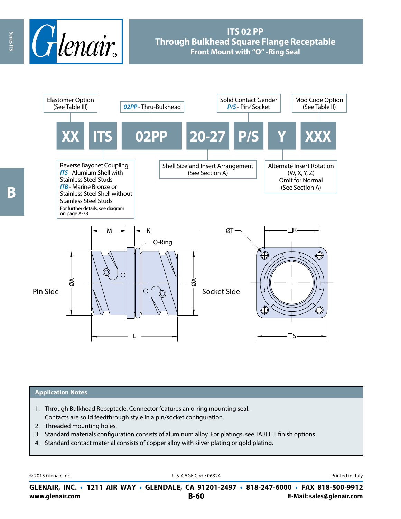

# **ITS 02 PP Through Bulkhead Square Flange Receptable Front Mount with "O" -Ring Seal**



# **Application Notes**

- 1. Through Bulkhead Receptacle. Connector features an o-ring mounting seal. Contacts are solid feedthrough style in a pin/socket configuration.
- 2. Threaded mounting holes.
- 3. Standard materials configuration consists of aluminum alloy. For platings, see TABLE II finish options.
- 4. Standard contact material consists of copper alloy with silver plating or gold plating.

© 2015 Glenair, Inc. **Discription Construction Construction Construction Construction Construction Construction Construction Construction Construction Construction Construction Construction Construction Construction Constr** 

**www.glenair.com B-60 E-Mail: sales@glenair.com GLENAIR, INC. • 1211 AIR WAY • GLENDALE, CA 91201-2497 • 818-247-6000 • FAX 818-500-9912**

Series ITS